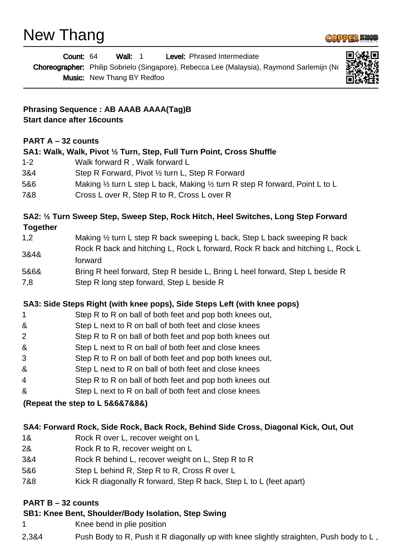

|                                                                                                                                                                                                                                                                                                                                                                                                                                                                                                                                                                                                                                                                                                                                                                                                                                                                                                                                                                                                                                                                                                                                                                                                                                                                                                                                                                                                                                                                                                                                                                    | Wall: 1<br>Level: Phrased Intermediate<br>Count: 64<br><b>Music:</b> New Thang BY Redfoo |
|--------------------------------------------------------------------------------------------------------------------------------------------------------------------------------------------------------------------------------------------------------------------------------------------------------------------------------------------------------------------------------------------------------------------------------------------------------------------------------------------------------------------------------------------------------------------------------------------------------------------------------------------------------------------------------------------------------------------------------------------------------------------------------------------------------------------------------------------------------------------------------------------------------------------------------------------------------------------------------------------------------------------------------------------------------------------------------------------------------------------------------------------------------------------------------------------------------------------------------------------------------------------------------------------------------------------------------------------------------------------------------------------------------------------------------------------------------------------------------------------------------------------------------------------------------------------|------------------------------------------------------------------------------------------|
| Choreographer: Philip Sobrielo (Singapore), Rebecca Lee (Malaysia), Raymond Sarlemijn (No<br><b>Phrasing Sequence : AB AAAB AAAA(Tag)B</b><br><b>Start dance after 16counts</b><br><b>PART A <math>-32</math> counts</b><br>SA1: Walk, Walk, Pivot 1/2 Turn, Step, Full Turn Point, Cross Shuffle<br>Walk forward R, Walk forward L<br>$1 - 2$<br>3&4<br>Step R Forward, Pivot 1/2 turn L, Step R Forward<br>5&6<br>Making $\frac{1}{2}$ turn L step L back, Making $\frac{1}{2}$ turn R step R forward, Point L to L<br>Cross L over R, Step R to R, Cross L over R<br>7&8<br>SA2: 1/2 Turn Sweep Step, Sweep Step, Rock Hitch, Heel Switches, Long Step Forward<br><b>Together</b><br>Making 1/2 turn L step R back sweeping L back, Step L back sweeping R back<br>1,2<br>Rock R back and hitching L, Rock L forward, Rock R back and hitching L, Rock L<br>3&4&<br>forward<br>5&6&<br>Bring R heel forward, Step R beside L, Bring L heel forward, Step L beside R<br>Step R long step forward, Step L beside R<br>7,8<br>SA3: Side Steps Right (with knee pops), Side Steps Left (with knee pops)<br>Step R to R on ball of both feet and pop both knees out,<br>1<br>&<br>Step L next to R on ball of both feet and close knees<br>Step R to R on ball of both feet and pop both knees out<br>2<br>&<br>Step L next to R on ball of both feet and close knees<br>Step R to R on ball of both feet and pop both knees out,<br>3<br>&<br>Step L next to R on ball of both feet and close knees<br>Step R to R on ball of both feet and pop both knees out<br>4 |                                                                                          |
|                                                                                                                                                                                                                                                                                                                                                                                                                                                                                                                                                                                                                                                                                                                                                                                                                                                                                                                                                                                                                                                                                                                                                                                                                                                                                                                                                                                                                                                                                                                                                                    |                                                                                          |
|                                                                                                                                                                                                                                                                                                                                                                                                                                                                                                                                                                                                                                                                                                                                                                                                                                                                                                                                                                                                                                                                                                                                                                                                                                                                                                                                                                                                                                                                                                                                                                    |                                                                                          |
|                                                                                                                                                                                                                                                                                                                                                                                                                                                                                                                                                                                                                                                                                                                                                                                                                                                                                                                                                                                                                                                                                                                                                                                                                                                                                                                                                                                                                                                                                                                                                                    |                                                                                          |
|                                                                                                                                                                                                                                                                                                                                                                                                                                                                                                                                                                                                                                                                                                                                                                                                                                                                                                                                                                                                                                                                                                                                                                                                                                                                                                                                                                                                                                                                                                                                                                    |                                                                                          |
|                                                                                                                                                                                                                                                                                                                                                                                                                                                                                                                                                                                                                                                                                                                                                                                                                                                                                                                                                                                                                                                                                                                                                                                                                                                                                                                                                                                                                                                                                                                                                                    |                                                                                          |
|                                                                                                                                                                                                                                                                                                                                                                                                                                                                                                                                                                                                                                                                                                                                                                                                                                                                                                                                                                                                                                                                                                                                                                                                                                                                                                                                                                                                                                                                                                                                                                    |                                                                                          |
|                                                                                                                                                                                                                                                                                                                                                                                                                                                                                                                                                                                                                                                                                                                                                                                                                                                                                                                                                                                                                                                                                                                                                                                                                                                                                                                                                                                                                                                                                                                                                                    |                                                                                          |
|                                                                                                                                                                                                                                                                                                                                                                                                                                                                                                                                                                                                                                                                                                                                                                                                                                                                                                                                                                                                                                                                                                                                                                                                                                                                                                                                                                                                                                                                                                                                                                    |                                                                                          |
|                                                                                                                                                                                                                                                                                                                                                                                                                                                                                                                                                                                                                                                                                                                                                                                                                                                                                                                                                                                                                                                                                                                                                                                                                                                                                                                                                                                                                                                                                                                                                                    |                                                                                          |
|                                                                                                                                                                                                                                                                                                                                                                                                                                                                                                                                                                                                                                                                                                                                                                                                                                                                                                                                                                                                                                                                                                                                                                                                                                                                                                                                                                                                                                                                                                                                                                    |                                                                                          |
|                                                                                                                                                                                                                                                                                                                                                                                                                                                                                                                                                                                                                                                                                                                                                                                                                                                                                                                                                                                                                                                                                                                                                                                                                                                                                                                                                                                                                                                                                                                                                                    |                                                                                          |
|                                                                                                                                                                                                                                                                                                                                                                                                                                                                                                                                                                                                                                                                                                                                                                                                                                                                                                                                                                                                                                                                                                                                                                                                                                                                                                                                                                                                                                                                                                                                                                    |                                                                                          |
|                                                                                                                                                                                                                                                                                                                                                                                                                                                                                                                                                                                                                                                                                                                                                                                                                                                                                                                                                                                                                                                                                                                                                                                                                                                                                                                                                                                                                                                                                                                                                                    |                                                                                          |
|                                                                                                                                                                                                                                                                                                                                                                                                                                                                                                                                                                                                                                                                                                                                                                                                                                                                                                                                                                                                                                                                                                                                                                                                                                                                                                                                                                                                                                                                                                                                                                    |                                                                                          |
|                                                                                                                                                                                                                                                                                                                                                                                                                                                                                                                                                                                                                                                                                                                                                                                                                                                                                                                                                                                                                                                                                                                                                                                                                                                                                                                                                                                                                                                                                                                                                                    |                                                                                          |
|                                                                                                                                                                                                                                                                                                                                                                                                                                                                                                                                                                                                                                                                                                                                                                                                                                                                                                                                                                                                                                                                                                                                                                                                                                                                                                                                                                                                                                                                                                                                                                    |                                                                                          |
|                                                                                                                                                                                                                                                                                                                                                                                                                                                                                                                                                                                                                                                                                                                                                                                                                                                                                                                                                                                                                                                                                                                                                                                                                                                                                                                                                                                                                                                                                                                                                                    |                                                                                          |
|                                                                                                                                                                                                                                                                                                                                                                                                                                                                                                                                                                                                                                                                                                                                                                                                                                                                                                                                                                                                                                                                                                                                                                                                                                                                                                                                                                                                                                                                                                                                                                    |                                                                                          |
| &                                                                                                                                                                                                                                                                                                                                                                                                                                                                                                                                                                                                                                                                                                                                                                                                                                                                                                                                                                                                                                                                                                                                                                                                                                                                                                                                                                                                                                                                                                                                                                  | Step L next to R on ball of both feet and close knees                                    |
|                                                                                                                                                                                                                                                                                                                                                                                                                                                                                                                                                                                                                                                                                                                                                                                                                                                                                                                                                                                                                                                                                                                                                                                                                                                                                                                                                                                                                                                                                                                                                                    | (Repeat the step to L 5&6&7&8&)                                                          |
|                                                                                                                                                                                                                                                                                                                                                                                                                                                                                                                                                                                                                                                                                                                                                                                                                                                                                                                                                                                                                                                                                                                                                                                                                                                                                                                                                                                                                                                                                                                                                                    | SA4: Forward Rock, Side Rock, Back Rock, Behind Side Cross, Diagonal Kick, Out, Out      |
| 1&                                                                                                                                                                                                                                                                                                                                                                                                                                                                                                                                                                                                                                                                                                                                                                                                                                                                                                                                                                                                                                                                                                                                                                                                                                                                                                                                                                                                                                                                                                                                                                 | Rock R over L, recover weight on L                                                       |
| 2&                                                                                                                                                                                                                                                                                                                                                                                                                                                                                                                                                                                                                                                                                                                                                                                                                                                                                                                                                                                                                                                                                                                                                                                                                                                                                                                                                                                                                                                                                                                                                                 | Rock R to R, recover weight on L                                                         |
| 3&4                                                                                                                                                                                                                                                                                                                                                                                                                                                                                                                                                                                                                                                                                                                                                                                                                                                                                                                                                                                                                                                                                                                                                                                                                                                                                                                                                                                                                                                                                                                                                                | Rock R behind L, recover weight on L, Step R to R                                        |
| 5&6                                                                                                                                                                                                                                                                                                                                                                                                                                                                                                                                                                                                                                                                                                                                                                                                                                                                                                                                                                                                                                                                                                                                                                                                                                                                                                                                                                                                                                                                                                                                                                | Step L behind R, Step R to R, Cross R over L                                             |
| 700                                                                                                                                                                                                                                                                                                                                                                                                                                                                                                                                                                                                                                                                                                                                                                                                                                                                                                                                                                                                                                                                                                                                                                                                                                                                                                                                                                                                                                                                                                                                                                | Calc D disconsolly D formated Chan D heads Chan Life L (feet                             |

7&8 Kick R diagonally R forward, Step R back, Step L to L (feet apart)

# **PART B – 32 counts**

# **SB1: Knee Bent, Shoulder/Body Isolation, Step Swing**

- 1 Knee bend in plie position
- 2,3&4 Push Body to R, Push it R diagonally up with knee slightly straighten, Push body to L,